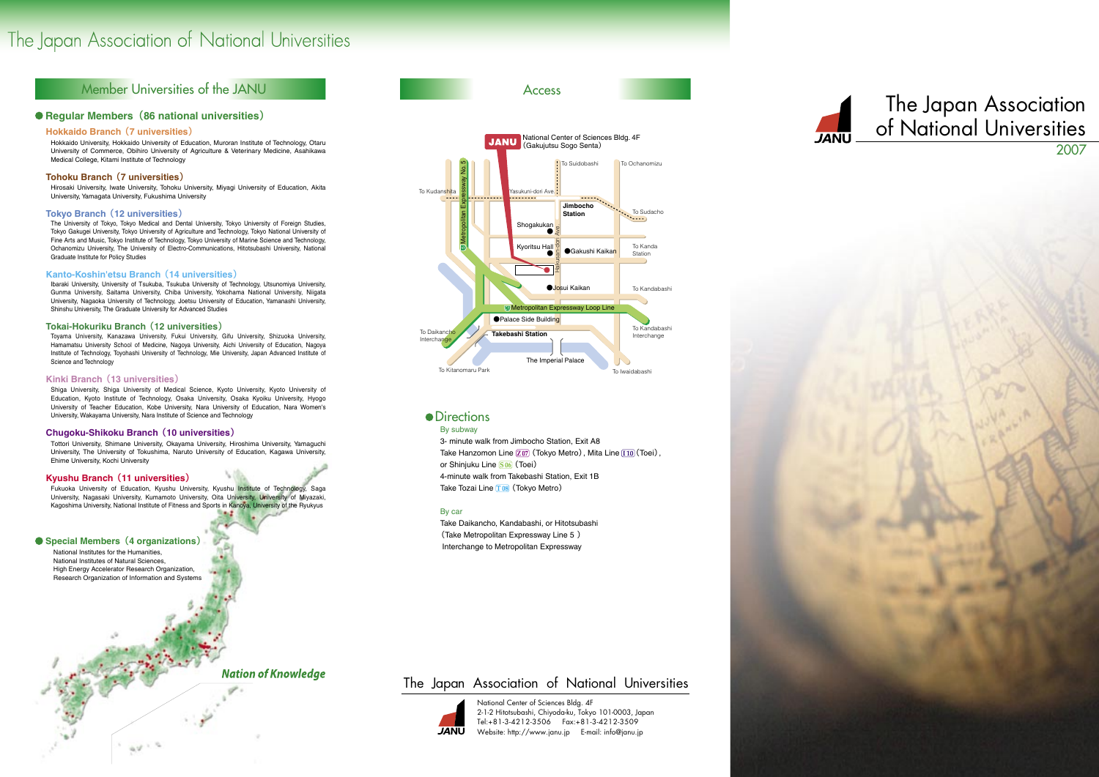# The Japan Association of National Universities

## Member Universities of the JANU

## **• Reqular Members (86 national universities)**

## **Hokkaido Branch (7 universities)**

Hokkaido University, Hokkaido University of Education, Muroran Institute of Technology, Otaru University of Commerce, Obihiro University of Agriculture & Veterinary Medicine, Asahikawa Medical College, Kitami Institute of Technology

## **Tohoku Branch (7 universities)**

Hirosaki University, Iwate University, Tohoku University, Miyagi University of Education, Akita University, Yamagata University, Fukushima University

### **Tokyo Branch (12 universities)**

The University of Tokyo, Tokyo Medical and Dental University, Tokyo University of Foreign Studies, Tokyo Gakugei University, Tokyo University of Agriculture and Technology, Tokyo National University of Fine Arts and Music, Tokyo Institute of Technology, Tokyo University of Marine Science and Technology, Ochanomizu University, The University of Electro-Communications, Hitotsubashi University, National Graduate Institute for Policy Studies

## Kanto-Koshin'etsu Branch (14 universities)

Ibaraki University, University of Tsukuba, Tsukuba University of Technology, Utsunomiya University, Gunma University, Saitama University, Chiba University, Yokohama National University, Niigata University, Nagaoka University of Technology, Joetsu University of Education, Yamanashi University, Shinshu University, The Graduate University for Advanced Studies

## Tokai-Hokuriku Branch (12 universities)

Toyama University, Kanazawa University, Fukui University, Gifu University, Shizuoka University, Hamamatsu University School of Medicine, Nagova University, Aichi University of Education, Nagova Institute of Technology, Toyohashi University of Technology, Mie University, Japan Advanced Institute of Science and Technology

### Kinki Branch (13 universities)

Shiga University, Shiga University of Medical Science, Kyoto University, Kyoto University of Education, Kyoto Institute of Technology, Osaka University, Osaka Kyoiku University, Hyogo University of Teacher Education, Kobe University, Nara University of Education, Nara Women's University, Wakayama University, Nara Institute of Science and Technology

## Chugoku-Shikoku Branch (10 universities)

Tottori University, Shimane University, Okayama University, Hiroshima University, Yamaguchi University, The University of Tokushima, Naruto University of Education, Kagawa University, Ehime University, Kochi University

## Kyushu Branch (11 universities)

Fukuoka University of Education, Kyushu University, Kyushu Institute of Technology, Saga University, Nagasaki University, Kumamoto University, Oita University, University of Miyazaki, Kagoshima University, National Institute of Fitness and Sports in Kanoya, University of the Ryukyus

## Special Members (4 organizations)

National Institutes for the Humanities. National Institutes of Natural Sciences High Energy Accelerator Research Organization, Research Organization of Information and Systems

 $\omega \rightarrow \omega$ 

## **Nation of Knowledge**

## The Japan Association of National Universities



National Center of Sciences Bldg. 4F 2-1-2 Hitotsubashi, Chiyoda-ku, Tokyo 101-0003, Japan Tel:+81-3-4212-3506 Fax:+81-3-4212-3509 Website: http://www.janu.jp E-mail: info@janu.jp



## • Directions

### By subway

3- minute walk from Jimbocho Station, Exit A8 Take Hanzomon Line  $\boxed{207}$  (Tokyo Metro), Mita Line  $\boxed{110}$  (Toei), or Shinjuku Line **S06** (Toei) 4-minute walk from Takebashi Station, Exit 1B Take Tozai Line T08 (Tokyo Metro)

### By car

Take Daikancho, Kandabashi, or Hitotsubashi (Take Metropolitan Expressway Line 5) Interchange to Metropolitan Expressway

**Access** 



# The Japan Association of National Universities 2007